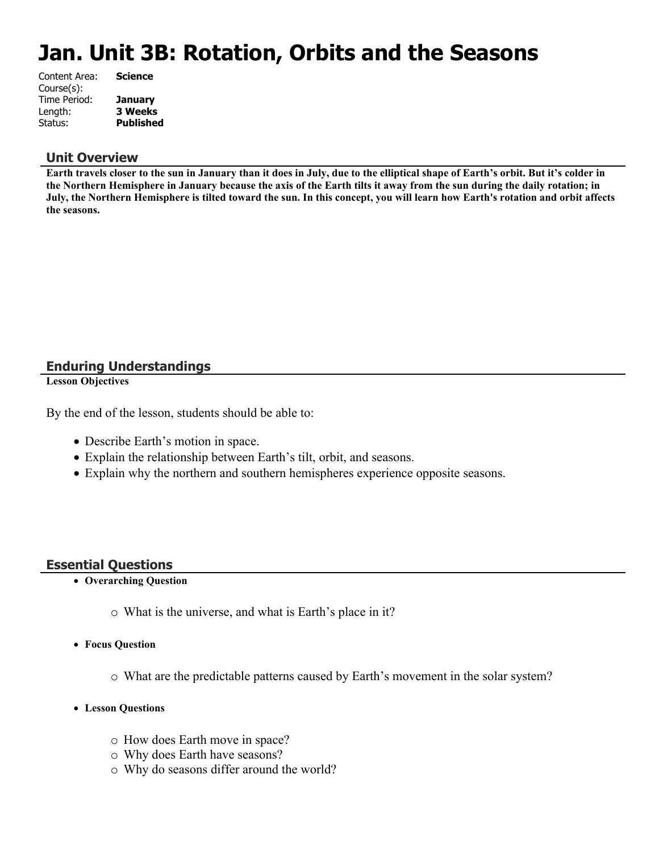# **Jan. Unit 3B: Rotation, Orbits and the Seasons**

| Content Area: | <b>Science</b>   |
|---------------|------------------|
| Course(s):    |                  |
| Time Period:  | <b>January</b>   |
| Length:       | <b>3 Weeks</b>   |
| Status:       | <b>Published</b> |
|               |                  |

#### **Unit Overview**

**Earth travels closer to the sun in January than it does in July, due to the elliptical shape of Earth's orbit. But it's colder in the Northern Hemisphere in January because the axis of the Earth tilts it away from the sun during the daily rotation; in July, the Northern Hemisphere is tilted toward the sun. In this concept, you will learn how Earth's rotation and orbit affects the seasons.**

#### **Enduring Understandings**

**Lesson Objectives**

By the end of the lesson, students should be able to:

- Describe Earth's motion in space.
- Explain the relationship between Earth's tilt, orbit, and seasons.
- Explain why the northern and southern hemispheres experience opposite seasons.

#### **Essential Questions**

- **Overarching Question**
	- o What is the universe, and what is Earth's place in it?
- **Focus Question**
	- o What are the predictable patterns caused by Earth's movement in the solar system?
- **Lesson Questions**
	- o How does Earth move in space?
	- o Why does Earth have seasons?
	- o Why do seasons differ around the world?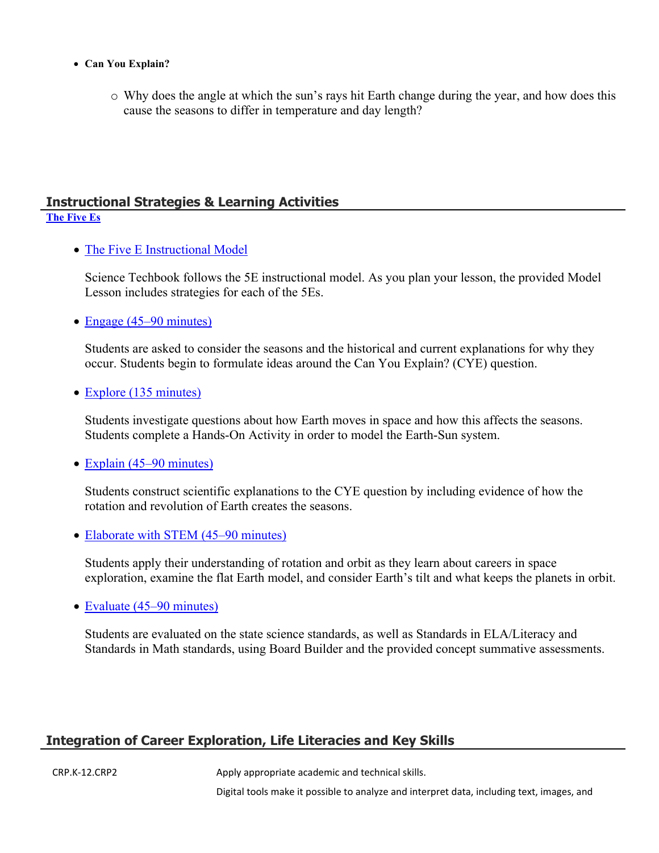- **Can You Explain?**
	- o Why does the angle at which the sun's rays hit Earth change during the year, and how does this cause the seasons to differ in temperature and day length?

#### **Instructional Strategies & Learning Activities [The Five Es](https://app.discoveryeducation.com/learn/techbook/units/c3ee5e64-c45f-447e-bbd8-cf869f21f1de/concepts/4aa8d8b0-0c32-4582-aad5-43578ca902b7/lesson/sections/e2e3dc64-bcda-4ab0-8594-88f4dda10662)**

• [The Five E Instructional Model](https://app.discoveryeducation.com/learn/techbook/units/c3ee5e64-c45f-447e-bbd8-cf869f21f1de/concepts/4aa8d8b0-0c32-4582-aad5-43578ca902b7/lesson/sections/e2e3dc64-bcda-4ab0-8594-88f4dda10662#c64c9e2d-9952-4146-8941-e684e8e7859e)

Science Techbook follows the 5E instructional model. As you plan your lesson, the provided Model Lesson includes strategies for each of the 5Es.

• [Engage \(45–90 minutes\)](https://app.discoveryeducation.com/learn/techbook/units/c3ee5e64-c45f-447e-bbd8-cf869f21f1de/concepts/4aa8d8b0-0c32-4582-aad5-43578ca902b7/lesson/sections/e2e3dc64-bcda-4ab0-8594-88f4dda10662#2db4e443-152e-4d85-bfc8-f08ca04b2a6e)

Students are asked to consider the seasons and the historical and current explanations for why they occur. Students begin to formulate ideas around the Can You Explain? (CYE) question.

• [Explore \(135 minutes\)](https://app.discoveryeducation.com/learn/techbook/units/c3ee5e64-c45f-447e-bbd8-cf869f21f1de/concepts/4aa8d8b0-0c32-4582-aad5-43578ca902b7/lesson/sections/e2e3dc64-bcda-4ab0-8594-88f4dda10662#b7dd58ce-8045-42f7-aed8-cab6c6f50c23)

Students investigate questions about how Earth moves in space and how this affects the seasons. Students complete a Hands-On Activity in order to model the Earth-Sun system.

• [Explain \(45–90 minutes\)](https://app.discoveryeducation.com/learn/techbook/units/c3ee5e64-c45f-447e-bbd8-cf869f21f1de/concepts/4aa8d8b0-0c32-4582-aad5-43578ca902b7/lesson/sections/e2e3dc64-bcda-4ab0-8594-88f4dda10662#3989fa18-6486-4020-bf7c-d2fcd10bcd3e)

Students construct scientific explanations to the CYE question by including evidence of how the rotation and revolution of Earth creates the seasons.

• [Elaborate with STEM \(45–90 minutes\)](https://app.discoveryeducation.com/learn/techbook/units/c3ee5e64-c45f-447e-bbd8-cf869f21f1de/concepts/4aa8d8b0-0c32-4582-aad5-43578ca902b7/lesson/sections/e2e3dc64-bcda-4ab0-8594-88f4dda10662#b48f0551-1b6e-4844-bb83-932c602a902d)

Students apply their understanding of rotation and orbit as they learn about careers in space exploration, examine the flat Earth model, and consider Earth's tilt and what keeps the planets in orbit.

• [Evaluate \(45–90 minutes\)](https://app.discoveryeducation.com/learn/techbook/units/c3ee5e64-c45f-447e-bbd8-cf869f21f1de/concepts/4aa8d8b0-0c32-4582-aad5-43578ca902b7/lesson/sections/e2e3dc64-bcda-4ab0-8594-88f4dda10662#45cd359a-a252-4c30-8258-2e8db70da4b7)

Students are evaluated on the state science standards, as well as Standards in ELA/Literacy and Standards in Math standards, using Board Builder and the provided concept summative assessments.

#### **Integration of Career Exploration, Life Literacies and Key Skills**

CRP.K-12.CRP2 Apply appropriate academic and technical skills.

Digital tools make it possible to analyze and interpret data, including text, images, and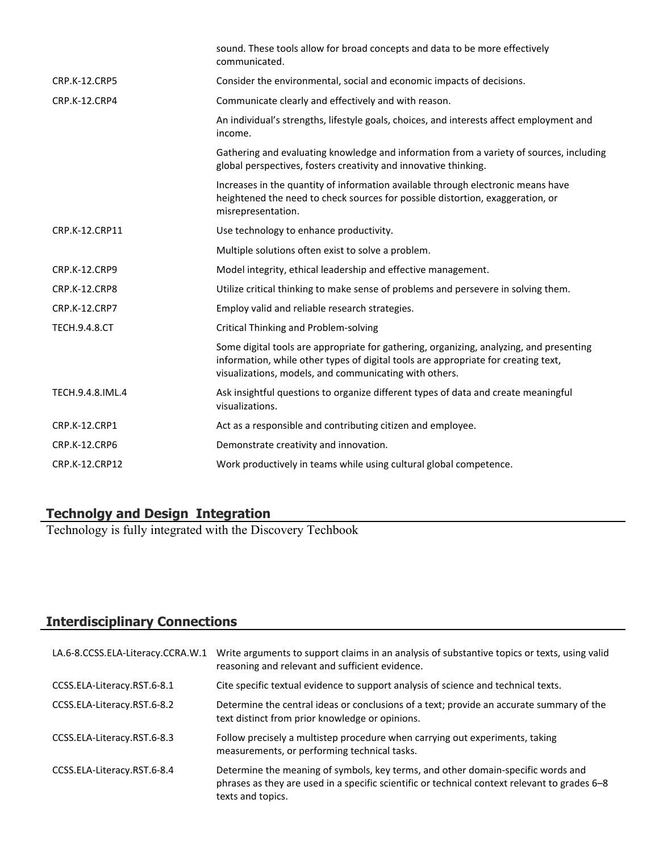|                      | sound. These tools allow for broad concepts and data to be more effectively<br>communicated.                                                                                                                                            |
|----------------------|-----------------------------------------------------------------------------------------------------------------------------------------------------------------------------------------------------------------------------------------|
| <b>CRP.K-12.CRP5</b> | Consider the environmental, social and economic impacts of decisions.                                                                                                                                                                   |
| CRP.K-12.CRP4        | Communicate clearly and effectively and with reason.                                                                                                                                                                                    |
|                      | An individual's strengths, lifestyle goals, choices, and interests affect employment and<br>income.                                                                                                                                     |
|                      | Gathering and evaluating knowledge and information from a variety of sources, including<br>global perspectives, fosters creativity and innovative thinking.                                                                             |
|                      | Increases in the quantity of information available through electronic means have<br>heightened the need to check sources for possible distortion, exaggeration, or<br>misrepresentation.                                                |
| CRP.K-12.CRP11       | Use technology to enhance productivity.                                                                                                                                                                                                 |
|                      | Multiple solutions often exist to solve a problem.                                                                                                                                                                                      |
| <b>CRP.K-12.CRP9</b> | Model integrity, ethical leadership and effective management.                                                                                                                                                                           |
| <b>CRP.K-12.CRP8</b> | Utilize critical thinking to make sense of problems and persevere in solving them.                                                                                                                                                      |
| CRP.K-12.CRP7        | Employ valid and reliable research strategies.                                                                                                                                                                                          |
| <b>TECH.9.4.8.CT</b> | Critical Thinking and Problem-solving                                                                                                                                                                                                   |
|                      | Some digital tools are appropriate for gathering, organizing, analyzing, and presenting<br>information, while other types of digital tools are appropriate for creating text,<br>visualizations, models, and communicating with others. |
| TECH.9.4.8.IML.4     | Ask insightful questions to organize different types of data and create meaningful<br>visualizations.                                                                                                                                   |
| <b>CRP.K-12.CRP1</b> | Act as a responsible and contributing citizen and employee.                                                                                                                                                                             |
| CRP.K-12.CRP6        | Demonstrate creativity and innovation.                                                                                                                                                                                                  |
| CRP.K-12.CRP12       | Work productively in teams while using cultural global competence.                                                                                                                                                                      |
|                      |                                                                                                                                                                                                                                         |

#### **Technolgy and Design Integration**

Technology is fully integrated with the Discovery Techbook

### **Interdisciplinary Connections**

| LA.6-8.CCSS.ELA-Literacy.CCRA.W.1 | Write arguments to support claims in an analysis of substantive topics or texts, using valid<br>reasoning and relevant and sufficient evidence.                                                        |
|-----------------------------------|--------------------------------------------------------------------------------------------------------------------------------------------------------------------------------------------------------|
| CCSS.ELA-Literacy.RST.6-8.1       | Cite specific textual evidence to support analysis of science and technical texts.                                                                                                                     |
| CCSS.ELA-Literacy.RST.6-8.2       | Determine the central ideas or conclusions of a text; provide an accurate summary of the<br>text distinct from prior knowledge or opinions.                                                            |
| CCSS.ELA-Literacy.RST.6-8.3       | Follow precisely a multistep procedure when carrying out experiments, taking<br>measurements, or performing technical tasks.                                                                           |
| CCSS.ELA-Literacy.RST.6-8.4       | Determine the meaning of symbols, key terms, and other domain-specific words and<br>phrases as they are used in a specific scientific or technical context relevant to grades 6–8<br>texts and topics. |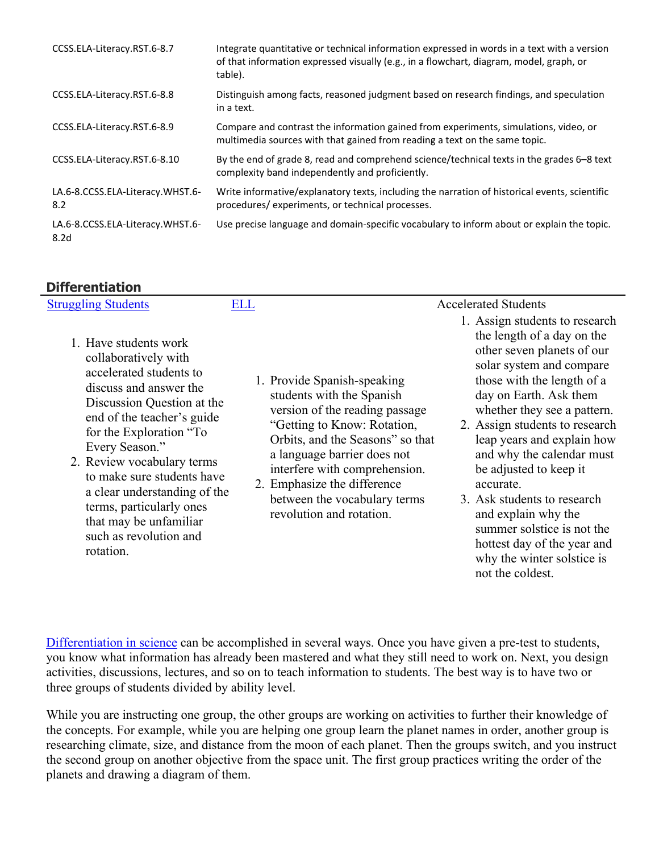| CCSS.ELA-Literacy.RST.6-8.7                          | Integrate quantitative or technical information expressed in words in a text with a version<br>of that information expressed visually (e.g., in a flowchart, diagram, model, graph, or<br>table). |
|------------------------------------------------------|---------------------------------------------------------------------------------------------------------------------------------------------------------------------------------------------------|
| CCSS.ELA-Literacy.RST.6-8.8                          | Distinguish among facts, reasoned judgment based on research findings, and speculation<br>in a text.                                                                                              |
| CCSS.ELA-Literacy.RST.6-8.9                          | Compare and contrast the information gained from experiments, simulations, video, or<br>multimedia sources with that gained from reading a text on the same topic.                                |
| CCSS.ELA-Literacy.RST.6-8.10                         | By the end of grade 8, read and comprehend science/technical texts in the grades 6–8 text<br>complexity band independently and proficiently.                                                      |
| LA.6-8.CCSS.ELA-Literacy.WHST.6-<br>8.2              | Write informative/explanatory texts, including the narration of historical events, scientific<br>procedures/experiments, or technical processes.                                                  |
| LA.6-8.CCSS.ELA-Literacy.WHST.6-<br>8.2 <sub>d</sub> | Use precise language and domain-specific vocabulary to inform about or explain the topic.                                                                                                         |

#### **Differentiation**

| <b>Struggling Students</b>                                                                                                                                                                                                                                                                                                                                                                           | ELL |                                                                                                                                                                                                                                                                                                                          | <b>Accelerated Students</b>                                                                                                                                                                                                                                                                                                                                                                                                                                                                                            |
|------------------------------------------------------------------------------------------------------------------------------------------------------------------------------------------------------------------------------------------------------------------------------------------------------------------------------------------------------------------------------------------------------|-----|--------------------------------------------------------------------------------------------------------------------------------------------------------------------------------------------------------------------------------------------------------------------------------------------------------------------------|------------------------------------------------------------------------------------------------------------------------------------------------------------------------------------------------------------------------------------------------------------------------------------------------------------------------------------------------------------------------------------------------------------------------------------------------------------------------------------------------------------------------|
| 1. Have students work<br>collaboratively with<br>accelerated students to<br>discuss and answer the<br>Discussion Question at the<br>end of the teacher's guide<br>for the Exploration "To<br>Every Season."<br>2. Review vocabulary terms<br>to make sure students have<br>a clear understanding of the<br>terms, particularly ones<br>that may be unfamiliar<br>such as revolution and<br>rotation. |     | 1. Provide Spanish-speaking<br>students with the Spanish<br>version of the reading passage<br>"Getting to Know: Rotation,<br>Orbits, and the Seasons" so that<br>a language barrier does not<br>interfere with comprehension.<br>2. Emphasize the difference<br>between the vocabulary terms<br>revolution and rotation. | 1. Assign students to research<br>the length of a day on the<br>other seven planets of our<br>solar system and compare<br>those with the length of a<br>day on Earth. Ask them<br>whether they see a pattern.<br>2. Assign students to research<br>leap years and explain how<br>and why the calendar must<br>be adjusted to keep it<br>accurate.<br>3. Ask students to research<br>and explain why the<br>summer solstice is not the<br>hottest day of the year and<br>why the winter solstice is<br>not the coldest. |

[Differentiation in science](http://www.brighthubeducation.com/teaching-gifted-students/65181-differentiation-techniques-and-activities-in-the-classroom-for-gifted-students/) can be accomplished in several ways. Once you have given a pre-test to students, you know what information has already been mastered and what they still need to work on. Next, you design activities, discussions, lectures, and so on to teach information to students. The best way is to have two or three groups of students divided by ability level.

While you are instructing one group, the other groups are working on activities to further their knowledge of the concepts. For example, while you are helping one group learn the planet names in order, another group is researching climate, size, and distance from the moon of each planet. Then the groups switch, and you instruct the second group on another objective from the space unit. The first group practices writing the order of the planets and drawing a diagram of them.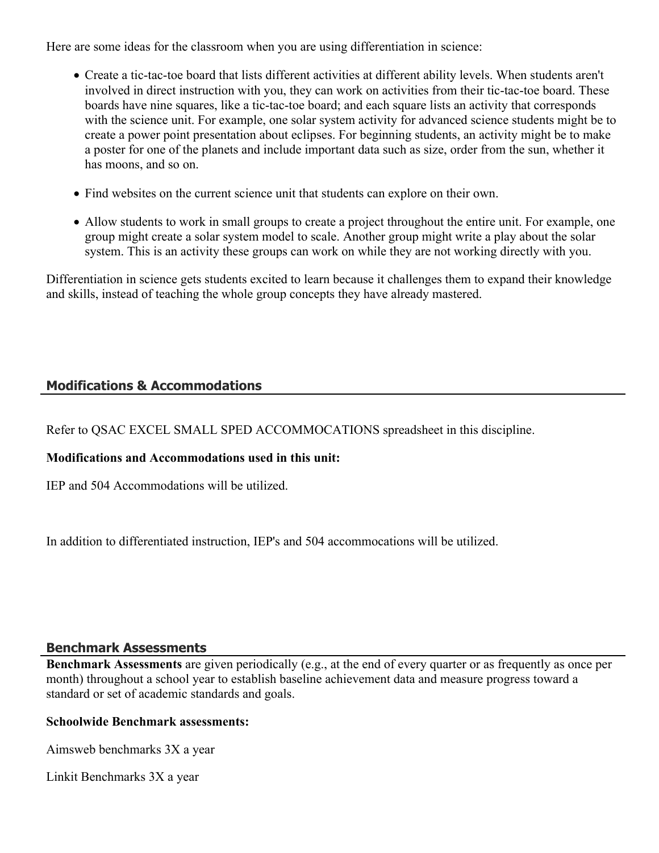Here are some ideas for the classroom when you are using differentiation in science:

- Create a tic-tac-toe board that lists different activities at different ability levels. When students aren't involved in direct instruction with you, they can work on activities from their tic-tac-toe board. These boards have nine squares, like a tic-tac-toe board; and each square lists an activity that corresponds with the science unit. For example, one solar system activity for advanced science students might be to create a power point presentation about eclipses. For beginning students, an activity might be to make a poster for one of the planets and include important data such as size, order from the sun, whether it has moons, and so on.
- Find websites on the current science unit that students can explore on their own.
- Allow students to work in small groups to create a project throughout the entire unit. For example, one group might create a solar system model to scale. Another group might write a play about the solar system. This is an activity these groups can work on while they are not working directly with you.

Differentiation in science gets students excited to learn because it challenges them to expand their knowledge and skills, instead of teaching the whole group concepts they have already mastered.

#### **Modifications & Accommodations**

Refer to QSAC EXCEL SMALL SPED ACCOMMOCATIONS spreadsheet in this discipline.

#### **Modifications and Accommodations used in this unit:**

IEP and 504 Accommodations will be utilized.

In addition to differentiated instruction, IEP's and 504 accommocations will be utilized.

#### **Benchmark Assessments**

**Benchmark Assessments** are given periodically (e.g., at the end of every quarter or as frequently as once per month) throughout a school year to establish baseline achievement data and measure progress toward a standard or set of academic standards and goals.

#### **Schoolwide Benchmark assessments:**

Aimsweb benchmarks 3X a year

Linkit Benchmarks 3X a year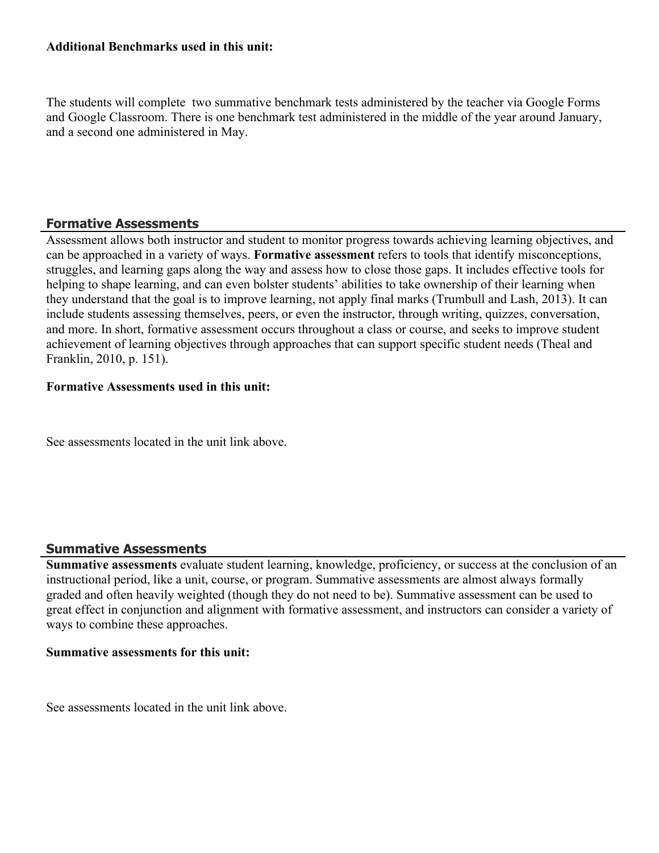#### **Additional Benchmarks used in this unit:**

The students will complete two summative benchmark tests administered by the teacher via Google Forms and Google Classroom. There is one benchmark test administered in the middle of the year around January, and a second one administered in May.

#### **Formative Assessments**

Assessment allows both instructor and student to monitor progress towards achieving learning objectives, and can be approached in a variety of ways. **Formative assessment** refers to tools that identify misconceptions, struggles, and learning gaps along the way and assess how to close those gaps. It includes effective tools for helping to shape learning, and can even bolster students' abilities to take ownership of their learning when they understand that the goal is to improve learning, not apply final marks (Trumbull and Lash, 2013). It can include students assessing themselves, peers, or even the instructor, through writing, quizzes, conversation, and more. In short, formative assessment occurs throughout a class or course, and seeks to improve student achievement of learning objectives through approaches that can support specific student needs (Theal and Franklin, 2010, p. 151).

#### **Formative Assessments used in this unit:**

See assessments located in the unit link above.

#### **Summative Assessments**

**Summative assessments** evaluate student learning, knowledge, proficiency, or success at the conclusion of an instructional period, like a unit, course, or program. Summative assessments are almost always formally graded and often heavily weighted (though they do not need to be). Summative assessment can be used to great effect in conjunction and alignment with formative assessment, and instructors can consider a variety of ways to combine these approaches.

#### **Summative assessments for this unit:**

See assessments located in the unit link above.